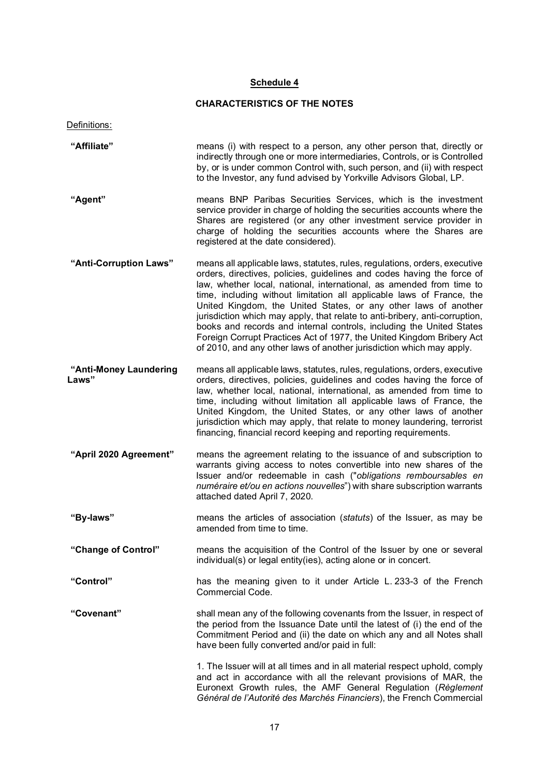# Schedule 4

# CHARACTERISTICS OF THE NOTES

| Definitions:                    |                                                                                                                                                                                                                                                                                                                                                                                                                                                                                                                                                                                                                                                                                  |  |
|---------------------------------|----------------------------------------------------------------------------------------------------------------------------------------------------------------------------------------------------------------------------------------------------------------------------------------------------------------------------------------------------------------------------------------------------------------------------------------------------------------------------------------------------------------------------------------------------------------------------------------------------------------------------------------------------------------------------------|--|
| "Affiliate"                     | means (i) with respect to a person, any other person that, directly or<br>indirectly through one or more intermediaries, Controls, or is Controlled<br>by, or is under common Control with, such person, and (ii) with respect<br>to the Investor, any fund advised by Yorkville Advisors Global, LP.                                                                                                                                                                                                                                                                                                                                                                            |  |
| "Agent"                         | means BNP Paribas Securities Services, which is the investment<br>service provider in charge of holding the securities accounts where the<br>Shares are registered (or any other investment service provider in<br>charge of holding the securities accounts where the Shares are<br>registered at the date considered).                                                                                                                                                                                                                                                                                                                                                         |  |
| "Anti-Corruption Laws"          | means all applicable laws, statutes, rules, regulations, orders, executive<br>orders, directives, policies, guidelines and codes having the force of<br>law, whether local, national, international, as amended from time to<br>time, including without limitation all applicable laws of France, the<br>United Kingdom, the United States, or any other laws of another<br>jurisdiction which may apply, that relate to anti-bribery, anti-corruption,<br>books and records and internal controls, including the United States<br>Foreign Corrupt Practices Act of 1977, the United Kingdom Bribery Act<br>of 2010, and any other laws of another jurisdiction which may apply. |  |
| "Anti-Money Laundering<br>Laws" | means all applicable laws, statutes, rules, regulations, orders, executive<br>orders, directives, policies, guidelines and codes having the force of<br>law, whether local, national, international, as amended from time to<br>time, including without limitation all applicable laws of France, the<br>United Kingdom, the United States, or any other laws of another<br>jurisdiction which may apply, that relate to money laundering, terrorist<br>financing, financial record keeping and reporting requirements.                                                                                                                                                          |  |
| "April 2020 Agreement"          | means the agreement relating to the issuance of and subscription to<br>warrants giving access to notes convertible into new shares of the<br>Issuer and/or redeemable in cash ("obligations remboursables en<br>numéraire et/ou en actions nouvelles") with share subscription warrants<br>attached dated April 7, 2020.                                                                                                                                                                                                                                                                                                                                                         |  |
| "Bv-laws"                       | means the articles of association (statuts) of the Issuer, as may be<br>amended from time to time.                                                                                                                                                                                                                                                                                                                                                                                                                                                                                                                                                                               |  |
| "Change of Control"             | means the acquisition of the Control of the Issuer by one or several<br>individual(s) or legal entity(ies), acting alone or in concert.                                                                                                                                                                                                                                                                                                                                                                                                                                                                                                                                          |  |
| "Control"                       | has the meaning given to it under Article L. 233-3 of the French<br><b>Commercial Code.</b>                                                                                                                                                                                                                                                                                                                                                                                                                                                                                                                                                                                      |  |
| "Covenant"                      | shall mean any of the following covenants from the Issuer, in respect of<br>the period from the Issuance Date until the latest of (i) the end of the<br>Commitment Period and (ii) the date on which any and all Notes shall<br>have been fully converted and/or paid in full:                                                                                                                                                                                                                                                                                                                                                                                                   |  |
|                                 | 1. The Issuer will at all times and in all material respect uphold, comply<br>and act in accordance with all the relevant provisions of MAR, the<br>Euronext Growth rules, the AMF General Regulation (Règlement<br>Général de l'Autorité des Marchés Financiers), the French Commercial                                                                                                                                                                                                                                                                                                                                                                                         |  |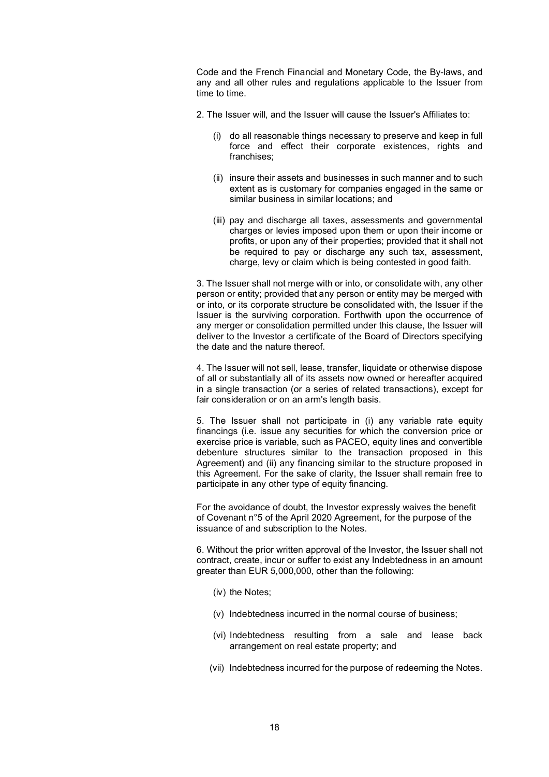Code and the French Financial and Monetary Code, the By-laws, and any and all other rules and regulations applicable to the Issuer from time to time.

- 2. The Issuer will, and the Issuer will cause the Issuer's Affiliates to:
	- (i) do all reasonable things necessary to preserve and keep in full force and effect their corporate existences, rights and franchises;
	- (ii) insure their assets and businesses in such manner and to such extent as is customary for companies engaged in the same or similar business in similar locations; and
	- (iii) pay and discharge all taxes, assessments and governmental charges or levies imposed upon them or upon their income or profits, or upon any of their properties; provided that it shall not be required to pay or discharge any such tax, assessment, charge, levy or claim which is being contested in good faith.

3. The Issuer shall not merge with or into, or consolidate with, any other person or entity; provided that any person or entity may be merged with or into, or its corporate structure be consolidated with, the Issuer if the Issuer is the surviving corporation. Forthwith upon the occurrence of any merger or consolidation permitted under this clause, the Issuer will deliver to the Investor a certificate of the Board of Directors specifying the date and the nature thereof.

4. The Issuer will not sell, lease, transfer, liquidate or otherwise dispose of all or substantially all of its assets now owned or hereafter acquired in a single transaction (or a series of related transactions), except for fair consideration or on an arm's length basis.

5. The Issuer shall not participate in (i) any variable rate equity financings (i.e. issue any securities for which the conversion price or exercise price is variable, such as PACEO, equity lines and convertible debenture structures similar to the transaction proposed in this Agreement) and (ii) any financing similar to the structure proposed in this Agreement. For the sake of clarity, the Issuer shall remain free to participate in any other type of equity financing.

For the avoidance of doubt, the Investor expressly waives the benefit of Covenant n°5 of the April 2020 Agreement, for the purpose of the issuance of and subscription to the Notes.

6. Without the prior written approval of the Investor, the Issuer shall not contract, create, incur or suffer to exist any Indebtedness in an amount greater than EUR 5,000,000, other than the following:

- (iv) the Notes;
- (v) Indebtedness incurred in the normal course of business;
- (vi) Indebtedness resulting from a sale and lease back arrangement on real estate property; and
- (vii) Indebtedness incurred for the purpose of redeeming the Notes.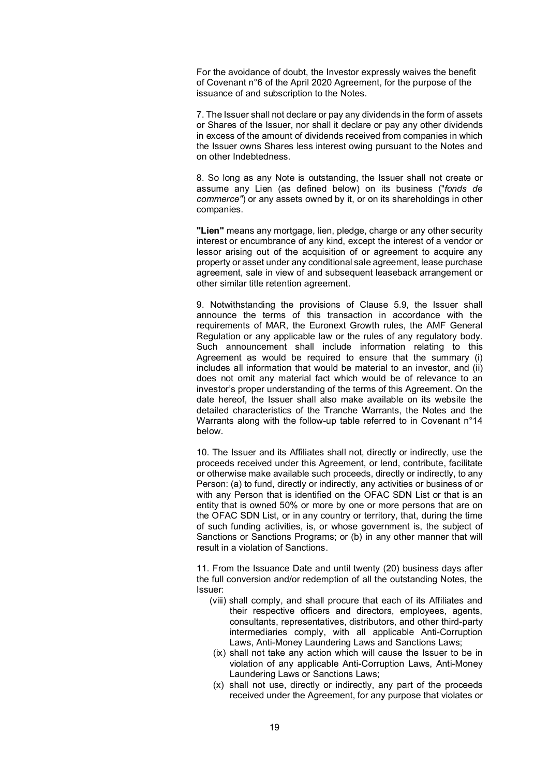For the avoidance of doubt, the Investor expressly waives the benefit of Covenant n°6 of the April 2020 Agreement, for the purpose of the issuance of and subscription to the Notes.

7. The Issuer shall not declare or pay any dividends in the form of assets or Shares of the Issuer, nor shall it declare or pay any other dividends in excess of the amount of dividends received from companies in which the Issuer owns Shares less interest owing pursuant to the Notes and on other Indebtedness.

8. So long as any Note is outstanding, the Issuer shall not create or assume any Lien (as defined below) on its business ("fonds de commerce") or any assets owned by it, or on its shareholdings in other companies.

"Lien" means any mortgage, lien, pledge, charge or any other security interest or encumbrance of any kind, except the interest of a vendor or lessor arising out of the acquisition of or agreement to acquire any property or asset under any conditional sale agreement, lease purchase agreement, sale in view of and subsequent leaseback arrangement or other similar title retention agreement.

9. Notwithstanding the provisions of Clause 5.9, the Issuer shall announce the terms of this transaction in accordance with the requirements of MAR, the Euronext Growth rules, the AMF General Regulation or any applicable law or the rules of any regulatory body. Such announcement shall include information relating to this Agreement as would be required to ensure that the summary (i) includes all information that would be material to an investor, and (ii) does not omit any material fact which would be of relevance to an investor's proper understanding of the terms of this Agreement. On the date hereof, the Issuer shall also make available on its website the detailed characteristics of the Tranche Warrants, the Notes and the Warrants along with the follow-up table referred to in Covenant n°14 below.

10. The Issuer and its Affiliates shall not, directly or indirectly, use the proceeds received under this Agreement, or lend, contribute, facilitate or otherwise make available such proceeds, directly or indirectly, to any Person: (a) to fund, directly or indirectly, any activities or business of or with any Person that is identified on the OFAC SDN List or that is an entity that is owned 50% or more by one or more persons that are on the OFAC SDN List, or in any country or territory, that, during the time of such funding activities, is, or whose government is, the subject of Sanctions or Sanctions Programs; or (b) in any other manner that will result in a violation of Sanctions.

11. From the Issuance Date and until twenty (20) business days after the full conversion and/or redemption of all the outstanding Notes, the Issuer:

- (viii) shall comply, and shall procure that each of its Affiliates and their respective officers and directors, employees, agents, consultants, representatives, distributors, and other third-party intermediaries comply, with all applicable Anti-Corruption Laws, Anti-Money Laundering Laws and Sanctions Laws;
- (ix) shall not take any action which will cause the Issuer to be in violation of any applicable Anti-Corruption Laws, Anti-Money Laundering Laws or Sanctions Laws;
- (x) shall not use, directly or indirectly, any part of the proceeds received under the Agreement, for any purpose that violates or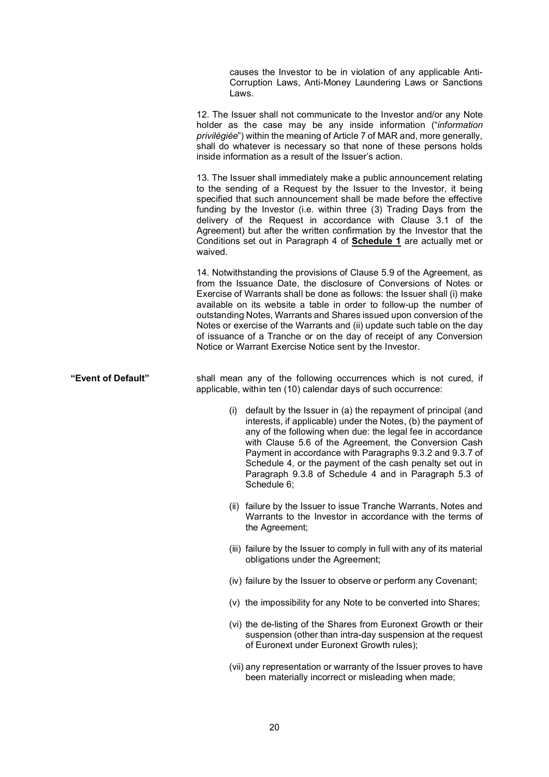causes the Investor to be in violation of any applicable Anti-Corruption Laws, Anti-Money Laundering Laws or Sanctions Laws.

12. The Issuer shall not communicate to the Investor and/or any Note holder as the case may be any inside information ("information privilégiée") within the meaning of Article 7 of MAR and, more generally, shall do whatever is necessary so that none of these persons holds inside information as a result of the Issuer's action.

13. The Issuer shall immediately make a public announcement relating to the sending of a Request by the Issuer to the Investor, it being specified that such announcement shall be made before the effective funding by the Investor (i.e. within three (3) Trading Days from the delivery of the Request in accordance with Clause 3.1 of the Agreement) but after the written confirmation by the Investor that the Conditions set out in Paragraph 4 of Schedule 1 are actually met or waived.

14. Notwithstanding the provisions of Clause 5.9 of the Agreement, as from the Issuance Date, the disclosure of Conversions of Notes or Exercise of Warrants shall be done as follows: the Issuer shall (i) make available on its website a table in order to follow-up the number of outstanding Notes, Warrants and Shares issued upon conversion of the Notes or exercise of the Warrants and (ii) update such table on the day of issuance of a Tranche or on the day of receipt of any Conversion Notice or Warrant Exercise Notice sent by the Investor.

"Event of Default" shall mean any of the following occurrences which is not cured, if applicable, within ten (10) calendar days of such occurrence:

- (i) default by the Issuer in (a) the repayment of principal (and interests, if applicable) under the Notes, (b) the payment of any of the following when due: the legal fee in accordance with Clause 5.6 of the Agreement, the Conversion Cash Payment in accordance with Paragraphs 9.3.2 and 9.3.7 of Schedule 4, or the payment of the cash penalty set out in Paragraph 9.3.8 of Schedule 4 and in Paragraph 5.3 of Schedule 6;
- (ii) failure by the Issuer to issue Tranche Warrants, Notes and Warrants to the Investor in accordance with the terms of the Agreement;
- (iii) failure by the Issuer to comply in full with any of its material obligations under the Agreement;
- (iv) failure by the Issuer to observe or perform any Covenant;
- (v) the impossibility for any Note to be converted into Shares;
- (vi) the de-listing of the Shares from Euronext Growth or their suspension (other than intra-day suspension at the request of Euronext under Euronext Growth rules);
- (vii) any representation or warranty of the Issuer proves to have been materially incorrect or misleading when made;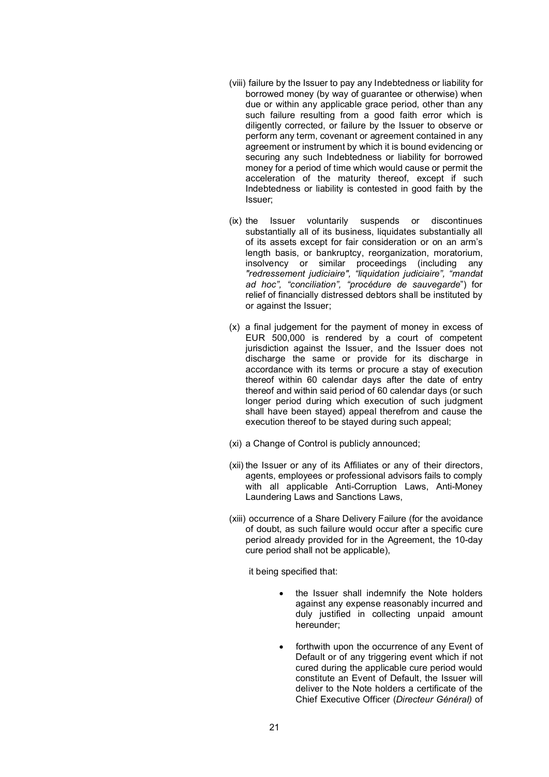- (viii) failure by the Issuer to pay any Indebtedness or liability for borrowed money (by way of guarantee or otherwise) when due or within any applicable grace period, other than any such failure resulting from a good faith error which is diligently corrected, or failure by the Issuer to observe or perform any term, covenant or agreement contained in any agreement or instrument by which it is bound evidencing or securing any such Indebtedness or liability for borrowed money for a period of time which would cause or permit the acceleration of the maturity thereof, except if such Indebtedness or liability is contested in good faith by the Issuer;
- (ix) the Issuer voluntarily suspends or discontinues substantially all of its business, liquidates substantially all of its assets except for fair consideration or on an arm's length basis, or bankruptcy, reorganization, moratorium, insolvency or similar proceedings (including any "redressement judiciaire", "liquidation judiciaire", "mandat ad hoc", "conciliation", "procédure de sauvegarde") for relief of financially distressed debtors shall be instituted by or against the Issuer;
- (x) a final judgement for the payment of money in excess of EUR 500,000 is rendered by a court of competent jurisdiction against the Issuer, and the Issuer does not discharge the same or provide for its discharge in accordance with its terms or procure a stay of execution thereof within 60 calendar days after the date of entry thereof and within said period of 60 calendar days (or such longer period during which execution of such judgment shall have been stayed) appeal therefrom and cause the execution thereof to be stayed during such appeal;
- (xi) a Change of Control is publicly announced;
- (xii) the Issuer or any of its Affiliates or any of their directors, agents, employees or professional advisors fails to comply with all applicable Anti-Corruption Laws, Anti-Money Laundering Laws and Sanctions Laws,
- (xiii) occurrence of a Share Delivery Failure (for the avoidance of doubt, as such failure would occur after a specific cure period already provided for in the Agreement, the 10-day cure period shall not be applicable),

it being specified that:

- the Issuer shall indemnify the Note holders against any expense reasonably incurred and duly justified in collecting unpaid amount hereunder;
- forthwith upon the occurrence of any Event of Default or of any triggering event which if not cured during the applicable cure period would constitute an Event of Default, the Issuer will deliver to the Note holders a certificate of the Chief Executive Officer (Directeur Général) of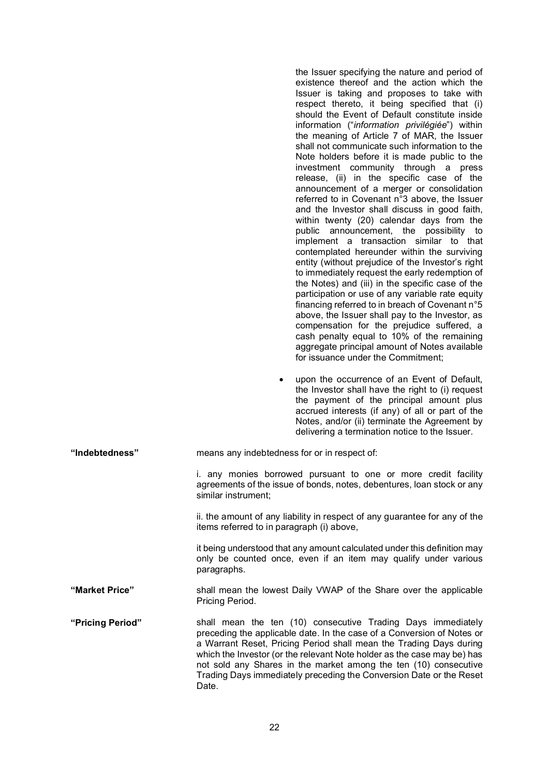|                  | ٠                                                                                                                                                                                                                                                                                                                                                                                                                                           | the Issuer specifying the nature and period of<br>existence thereof and the action which the<br>Issuer is taking and proposes to take with<br>respect thereto, it being specified that (i)<br>should the Event of Default constitute inside<br>information ("information privilégiée") within<br>the meaning of Article 7 of MAR, the Issuer<br>shall not communicate such information to the<br>Note holders before it is made public to the<br>investment community through a press<br>release, (ii) in the specific case of the<br>announcement of a merger or consolidation<br>referred to in Covenant n°3 above, the Issuer<br>and the Investor shall discuss in good faith,<br>within twenty (20) calendar days from the<br>public announcement, the possibility to<br>implement a transaction similar to that<br>contemplated hereunder within the surviving<br>entity (without prejudice of the Investor's right<br>to immediately request the early redemption of<br>the Notes) and (iii) in the specific case of the<br>participation or use of any variable rate equity<br>financing referred to in breach of Covenant n°5<br>above, the Issuer shall pay to the Investor, as<br>compensation for the prejudice suffered, a<br>cash penalty equal to 10% of the remaining<br>aggregate principal amount of Notes available<br>for issuance under the Commitment;<br>upon the occurrence of an Event of Default,<br>the Investor shall have the right to (i) request |
|------------------|---------------------------------------------------------------------------------------------------------------------------------------------------------------------------------------------------------------------------------------------------------------------------------------------------------------------------------------------------------------------------------------------------------------------------------------------|--------------------------------------------------------------------------------------------------------------------------------------------------------------------------------------------------------------------------------------------------------------------------------------------------------------------------------------------------------------------------------------------------------------------------------------------------------------------------------------------------------------------------------------------------------------------------------------------------------------------------------------------------------------------------------------------------------------------------------------------------------------------------------------------------------------------------------------------------------------------------------------------------------------------------------------------------------------------------------------------------------------------------------------------------------------------------------------------------------------------------------------------------------------------------------------------------------------------------------------------------------------------------------------------------------------------------------------------------------------------------------------------------------------------------------------------------------------------------------|
|                  |                                                                                                                                                                                                                                                                                                                                                                                                                                             | the payment of the principal amount plus<br>accrued interests (if any) of all or part of the<br>Notes, and/or (ii) terminate the Agreement by<br>delivering a termination notice to the Issuer.                                                                                                                                                                                                                                                                                                                                                                                                                                                                                                                                                                                                                                                                                                                                                                                                                                                                                                                                                                                                                                                                                                                                                                                                                                                                                |
| "Indebtedness"   | means any indebtedness for or in respect of:                                                                                                                                                                                                                                                                                                                                                                                                |                                                                                                                                                                                                                                                                                                                                                                                                                                                                                                                                                                                                                                                                                                                                                                                                                                                                                                                                                                                                                                                                                                                                                                                                                                                                                                                                                                                                                                                                                |
|                  | similar instrument;                                                                                                                                                                                                                                                                                                                                                                                                                         | i. any monies borrowed pursuant to one or more credit facility<br>agreements of the issue of bonds, notes, debentures, loan stock or any                                                                                                                                                                                                                                                                                                                                                                                                                                                                                                                                                                                                                                                                                                                                                                                                                                                                                                                                                                                                                                                                                                                                                                                                                                                                                                                                       |
|                  | items referred to in paragraph (i) above,                                                                                                                                                                                                                                                                                                                                                                                                   | ii. the amount of any liability in respect of any guarantee for any of the                                                                                                                                                                                                                                                                                                                                                                                                                                                                                                                                                                                                                                                                                                                                                                                                                                                                                                                                                                                                                                                                                                                                                                                                                                                                                                                                                                                                     |
|                  | paragraphs.                                                                                                                                                                                                                                                                                                                                                                                                                                 | it being understood that any amount calculated under this definition may<br>only be counted once, even if an item may qualify under various                                                                                                                                                                                                                                                                                                                                                                                                                                                                                                                                                                                                                                                                                                                                                                                                                                                                                                                                                                                                                                                                                                                                                                                                                                                                                                                                    |
| "Market Price"   | shall mean the lowest Daily VWAP of the Share over the applicable<br>Pricing Period.                                                                                                                                                                                                                                                                                                                                                        |                                                                                                                                                                                                                                                                                                                                                                                                                                                                                                                                                                                                                                                                                                                                                                                                                                                                                                                                                                                                                                                                                                                                                                                                                                                                                                                                                                                                                                                                                |
| "Pricing Period" | shall mean the ten (10) consecutive Trading Days immediately<br>preceding the applicable date. In the case of a Conversion of Notes or<br>a Warrant Reset, Pricing Period shall mean the Trading Days during<br>which the Investor (or the relevant Note holder as the case may be) has<br>not sold any Shares in the market among the ten (10) consecutive<br>Trading Days immediately preceding the Conversion Date or the Reset<br>Date. |                                                                                                                                                                                                                                                                                                                                                                                                                                                                                                                                                                                                                                                                                                                                                                                                                                                                                                                                                                                                                                                                                                                                                                                                                                                                                                                                                                                                                                                                                |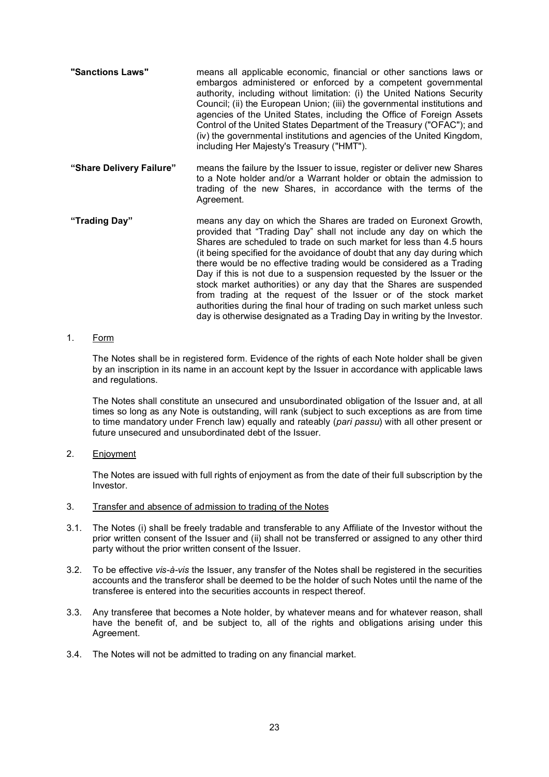"Sanctions Laws" means all applicable economic, financial or other sanctions laws or embargos administered or enforced by a competent governmental authority, including without limitation: (i) the United Nations Security Council; (ii) the European Union; (iii) the governmental institutions and agencies of the United States, including the Office of Foreign Assets Control of the United States Department of the Treasury ("OFAC"); and (iv) the governmental institutions and agencies of the United Kingdom, including Her Majesty's Treasury ("HMT"). "Share Delivery Failure" means the failure by the Issuer to issue, register or deliver new Shares to a Note holder and/or a Warrant holder or obtain the admission to trading of the new Shares, in accordance with the terms of the Agreement. "Trading Day" means any day on which the Shares are traded on Euronext Growth, provided that "Trading Day" shall not include any day on which the Shares are scheduled to trade on such market for less than 4.5 hours (it being specified for the avoidance of doubt that any day during which there would be no effective trading would be considered as a Trading Day if this is not due to a suspension requested by the Issuer or the stock market authorities) or any day that the Shares are suspended from trading at the request of the Issuer or of the stock market

### 1. Form

The Notes shall be in registered form. Evidence of the rights of each Note holder shall be given by an inscription in its name in an account kept by the Issuer in accordance with applicable laws and regulations.

authorities during the final hour of trading on such market unless such day is otherwise designated as a Trading Day in writing by the Investor.

The Notes shall constitute an unsecured and unsubordinated obligation of the Issuer and, at all times so long as any Note is outstanding, will rank (subject to such exceptions as are from time to time mandatory under French law) equally and rateably (pari passu) with all other present or future unsecured and unsubordinated debt of the Issuer.

2. Enjoyment

The Notes are issued with full rights of enjoyment as from the date of their full subscription by the Investor.

- 3. Transfer and absence of admission to trading of the Notes
- 3.1. The Notes (i) shall be freely tradable and transferable to any Affiliate of the Investor without the prior written consent of the Issuer and (ii) shall not be transferred or assigned to any other third party without the prior written consent of the Issuer.
- 3.2. To be effective vis-à-vis the Issuer, any transfer of the Notes shall be registered in the securities accounts and the transferor shall be deemed to be the holder of such Notes until the name of the transferee is entered into the securities accounts in respect thereof.
- 3.3. Any transferee that becomes a Note holder, by whatever means and for whatever reason, shall have the benefit of, and be subject to, all of the rights and obligations arising under this Agreement.
- 3.4. The Notes will not be admitted to trading on any financial market.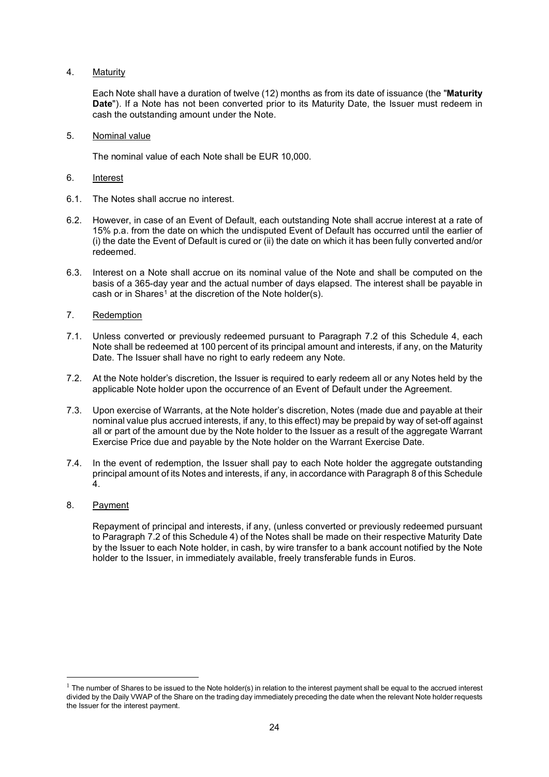4. Maturity

Each Note shall have a duration of twelve (12) months as from its date of issuance (the "Maturity Date"). If a Note has not been converted prior to its Maturity Date, the Issuer must redeem in cash the outstanding amount under the Note.

5. Nominal value

The nominal value of each Note shall be EUR 10,000.

- 6. Interest
- 6.1. The Notes shall accrue no interest.
- 6.2. However, in case of an Event of Default, each outstanding Note shall accrue interest at a rate of 15% p.a. from the date on which the undisputed Event of Default has occurred until the earlier of (i) the date the Event of Default is cured or (ii) the date on which it has been fully converted and/or redeemed.
- 6.3. Interest on a Note shall accrue on its nominal value of the Note and shall be computed on the basis of a 365-day year and the actual number of days elapsed. The interest shall be payable in cash or in Shares<sup>1</sup> at the discretion of the Note holder(s).
- 7. Redemption
- 7.1. Unless converted or previously redeemed pursuant to Paragraph 7.2 of this Schedule 4, each Note shall be redeemed at 100 percent of its principal amount and interests, if any, on the Maturity Date. The Issuer shall have no right to early redeem any Note.
- 7.2. At the Note holder's discretion, the Issuer is required to early redeem all or any Notes held by the applicable Note holder upon the occurrence of an Event of Default under the Agreement.
- 7.3. Upon exercise of Warrants, at the Note holder's discretion, Notes (made due and payable at their nominal value plus accrued interests, if any, to this effect) may be prepaid by way of set-off against all or part of the amount due by the Note holder to the Issuer as a result of the aggregate Warrant Exercise Price due and payable by the Note holder on the Warrant Exercise Date.
- 7.4. In the event of redemption, the Issuer shall pay to each Note holder the aggregate outstanding principal amount of its Notes and interests, if any, in accordance with Paragraph 8 of this Schedule 4.
- 8. Payment

Repayment of principal and interests, if any, (unless converted or previously redeemed pursuant to Paragraph 7.2 of this Schedule 4) of the Notes shall be made on their respective Maturity Date by the Issuer to each Note holder, in cash, by wire transfer to a bank account notified by the Note holder to the Issuer, in immediately available, freely transferable funds in Euros.

 $1$  The number of Shares to be issued to the Note holder(s) in relation to the interest payment shall be equal to the accrued interest divided by the Daily VWAP of the Share on the trading day immediately preceding the date when the relevant Note holder requests the Issuer for the interest payment.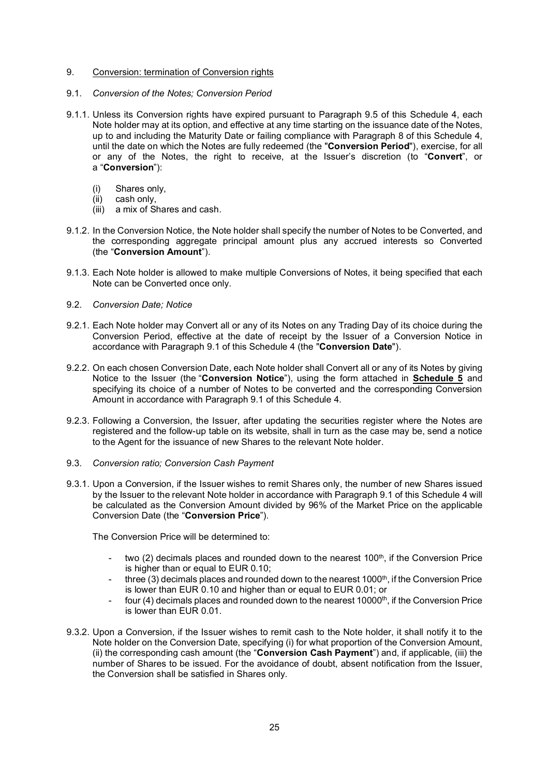### 9. Conversion: termination of Conversion rights

### 9.1. Conversion of the Notes; Conversion Period

- 9.1.1. Unless its Conversion rights have expired pursuant to Paragraph 9.5 of this Schedule 4, each Note holder may at its option, and effective at any time starting on the issuance date of the Notes, up to and including the Maturity Date or failing compliance with Paragraph 8 of this Schedule 4, until the date on which the Notes are fully redeemed (the "Conversion Period"), exercise, for all or any of the Notes, the right to receive, at the Issuer's discretion (to "Convert", or a "Conversion"):
	- (i) Shares only,
	- (ii) cash only,
	- $(iii)$  a mix of Shares and cash.
- 9.1.2. In the Conversion Notice, the Note holder shall specify the number of Notes to be Converted, and the corresponding aggregate principal amount plus any accrued interests so Converted (the "Conversion Amount").
- 9.1.3. Each Note holder is allowed to make multiple Conversions of Notes, it being specified that each Note can be Converted once only.
- 9.2. Conversion Date; Notice
- 9.2.1. Each Note holder may Convert all or any of its Notes on any Trading Day of its choice during the Conversion Period, effective at the date of receipt by the Issuer of a Conversion Notice in accordance with Paragraph 9.1 of this Schedule 4 (the "Conversion Date").
- 9.2.2. On each chosen Conversion Date, each Note holder shall Convert all or any of its Notes by giving Notice to the Issuer (the "Conversion Notice"), using the form attached in Schedule 5 and specifying its choice of a number of Notes to be converted and the corresponding Conversion Amount in accordance with Paragraph 9.1 of this Schedule 4.
- 9.2.3. Following a Conversion, the Issuer, after updating the securities register where the Notes are registered and the follow-up table on its website, shall in turn as the case may be, send a notice to the Agent for the issuance of new Shares to the relevant Note holder.
- 9.3. Conversion ratio; Conversion Cash Payment
- 9.3.1. Upon a Conversion, if the Issuer wishes to remit Shares only, the number of new Shares issued by the Issuer to the relevant Note holder in accordance with Paragraph 9.1 of this Schedule 4 will be calculated as the Conversion Amount divided by 96% of the Market Price on the applicable Conversion Date (the "Conversion Price").

The Conversion Price will be determined to:

- two (2) decimals places and rounded down to the nearest 100<sup>th</sup>, if the Conversion Price is higher than or equal to EUR 0.10;
- three  $(3)$  decimals places and rounded down to the nearest 1000th, if the Conversion Price is lower than EUR 0.10 and higher than or equal to EUR 0.01; or
- four (4) decimals places and rounded down to the nearest 10000<sup>th</sup>, if the Conversion Price is lower than EUR 0.01.
- 9.3.2. Upon a Conversion, if the Issuer wishes to remit cash to the Note holder, it shall notify it to the Note holder on the Conversion Date, specifying (i) for what proportion of the Conversion Amount, (ii) the corresponding cash amount (the "Conversion Cash Payment") and, if applicable, (iii) the number of Shares to be issued. For the avoidance of doubt, absent notification from the Issuer, the Conversion shall be satisfied in Shares only.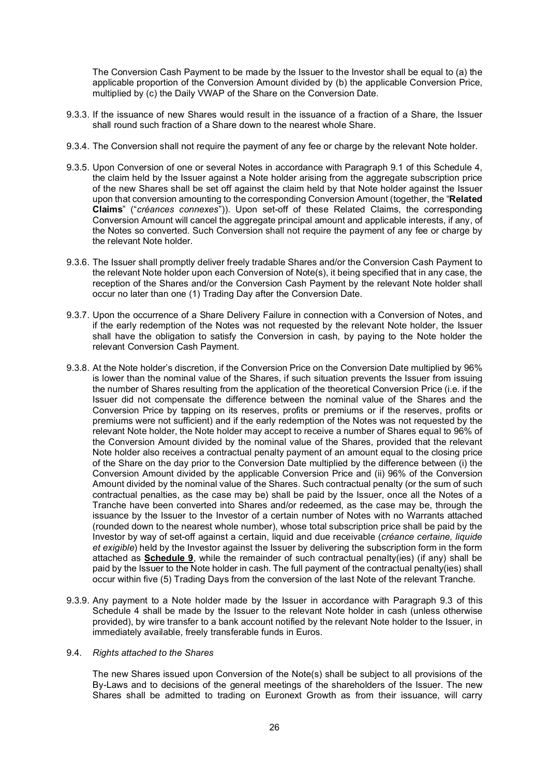The Conversion Cash Payment to be made by the Issuer to the Investor shall be equal to (a) the applicable proportion of the Conversion Amount divided by (b) the applicable Conversion Price, multiplied by (c) the Daily VWAP of the Share on the Conversion Date.

- 9.3.3. If the issuance of new Shares would result in the issuance of a fraction of a Share, the Issuer shall round such fraction of a Share down to the nearest whole Share.
- 9.3.4. The Conversion shall not require the payment of any fee or charge by the relevant Note holder.
- 9.3.5. Upon Conversion of one or several Notes in accordance with Paragraph 9.1 of this Schedule 4, the claim held by the Issuer against a Note holder arising from the aggregate subscription price of the new Shares shall be set off against the claim held by that Note holder against the Issuer upon that conversion amounting to the corresponding Conversion Amount (together, the "Related Claims" ("créances connexes")). Upon set-off of these Related Claims, the corresponding Conversion Amount will cancel the aggregate principal amount and applicable interests, if any, of the Notes so converted. Such Conversion shall not require the payment of any fee or charge by the relevant Note holder.
- 9.3.6. The Issuer shall promptly deliver freely tradable Shares and/or the Conversion Cash Payment to the relevant Note holder upon each Conversion of Note(s), it being specified that in any case, the reception of the Shares and/or the Conversion Cash Payment by the relevant Note holder shall occur no later than one (1) Trading Day after the Conversion Date.
- 9.3.7. Upon the occurrence of a Share Delivery Failure in connection with a Conversion of Notes, and if the early redemption of the Notes was not requested by the relevant Note holder, the Issuer shall have the obligation to satisfy the Conversion in cash, by paying to the Note holder the relevant Conversion Cash Payment.
- 9.3.8. At the Note holder's discretion, if the Conversion Price on the Conversion Date multiplied by 96% is lower than the nominal value of the Shares, if such situation prevents the Issuer from issuing the number of Shares resulting from the application of the theoretical Conversion Price (i.e. if the Issuer did not compensate the difference between the nominal value of the Shares and the Conversion Price by tapping on its reserves, profits or premiums or if the reserves, profits or premiums were not sufficient) and if the early redemption of the Notes was not requested by the relevant Note holder, the Note holder may accept to receive a number of Shares equal to 96% of the Conversion Amount divided by the nominal value of the Shares, provided that the relevant Note holder also receives a contractual penalty payment of an amount equal to the closing price of the Share on the day prior to the Conversion Date multiplied by the difference between (i) the Conversion Amount divided by the applicable Conversion Price and (ii) 96% of the Conversion Amount divided by the nominal value of the Shares. Such contractual penalty (or the sum of such contractual penalties, as the case may be) shall be paid by the Issuer, once all the Notes of a Tranche have been converted into Shares and/or redeemed, as the case may be, through the issuance by the Issuer to the Investor of a certain number of Notes with no Warrants attached (rounded down to the nearest whole number), whose total subscription price shall be paid by the Investor by way of set-off against a certain, liquid and due receivable (créance certaine, liquide et exigible) held by the Investor against the Issuer by delivering the subscription form in the form attached as **Schedule 9**, while the remainder of such contractual penalty(ies) (if any) shall be paid by the Issuer to the Note holder in cash. The full payment of the contractual penalty(ies) shall occur within five (5) Trading Days from the conversion of the last Note of the relevant Tranche.
- 9.3.9. Any payment to a Note holder made by the Issuer in accordance with Paragraph 9.3 of this Schedule 4 shall be made by the Issuer to the relevant Note holder in cash (unless otherwise provided), by wire transfer to a bank account notified by the relevant Note holder to the Issuer, in immediately available, freely transferable funds in Euros.

### 9.4. Rights attached to the Shares

The new Shares issued upon Conversion of the Note(s) shall be subject to all provisions of the By-Laws and to decisions of the general meetings of the shareholders of the Issuer. The new Shares shall be admitted to trading on Euronext Growth as from their issuance, will carry